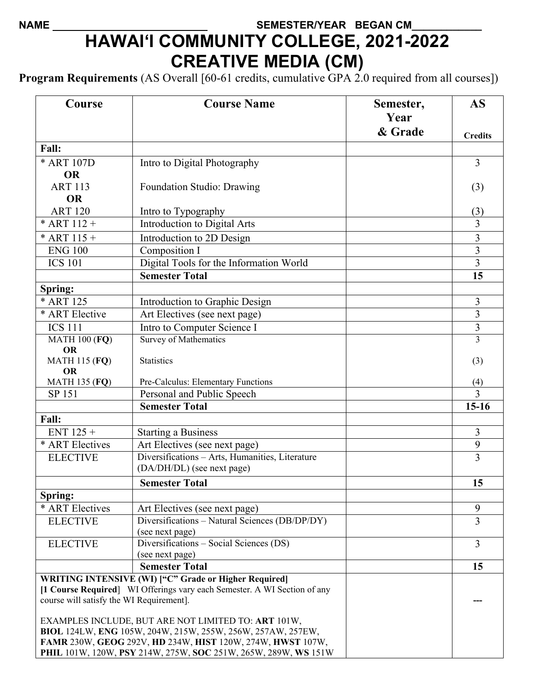## NAME **NAME** SEMESTER/YEAR BEGAN CM\_ **HAWAI'I COMMUNITY COLLEGE, 2021-2022 CREATIVE MEDIA (CM)**

**Program Requirements** (AS Overall [60-61 credits, cumulative GPA 2.0 required from all courses])

| Course                                                                                                                                                                                                                                      | <b>Course Name</b>                                                                                                                                                                          | Semester,<br>Year<br>& Grade | <b>AS</b><br><b>Credits</b> |
|---------------------------------------------------------------------------------------------------------------------------------------------------------------------------------------------------------------------------------------------|---------------------------------------------------------------------------------------------------------------------------------------------------------------------------------------------|------------------------------|-----------------------------|
| <b>Fall:</b>                                                                                                                                                                                                                                |                                                                                                                                                                                             |                              |                             |
| * ART 107D<br><b>OR</b>                                                                                                                                                                                                                     | Intro to Digital Photography                                                                                                                                                                |                              | $\overline{3}$              |
| <b>ART 113</b><br><b>OR</b>                                                                                                                                                                                                                 | Foundation Studio: Drawing                                                                                                                                                                  |                              | (3)                         |
| <b>ART 120</b>                                                                                                                                                                                                                              | Intro to Typography                                                                                                                                                                         |                              | (3)                         |
| * ART 112 +                                                                                                                                                                                                                                 | Introduction to Digital Arts                                                                                                                                                                |                              | $\overline{3}$              |
| * ART $115 +$                                                                                                                                                                                                                               | Introduction to 2D Design                                                                                                                                                                   |                              | 3                           |
| <b>ENG 100</b>                                                                                                                                                                                                                              | Composition I                                                                                                                                                                               |                              | $\overline{\mathbf{3}}$     |
| <b>ICS 101</b>                                                                                                                                                                                                                              | Digital Tools for the Information World                                                                                                                                                     |                              | $\overline{3}$              |
|                                                                                                                                                                                                                                             | <b>Semester Total</b>                                                                                                                                                                       |                              | 15                          |
| Spring:                                                                                                                                                                                                                                     |                                                                                                                                                                                             |                              |                             |
| * ART 125                                                                                                                                                                                                                                   | Introduction to Graphic Design                                                                                                                                                              |                              | 3                           |
| * ART Elective                                                                                                                                                                                                                              | Art Electives (see next page)                                                                                                                                                               |                              | $\overline{3}$              |
| <b>ICS 111</b>                                                                                                                                                                                                                              |                                                                                                                                                                                             |                              | $\overline{3}$              |
| <b>MATH 100 (FQ)</b>                                                                                                                                                                                                                        | Intro to Computer Science I<br>Survey of Mathematics                                                                                                                                        |                              | $\overline{3}$              |
| <b>OR</b><br><b>MATH 115 (FQ)</b><br><b>OR</b>                                                                                                                                                                                              | <b>Statistics</b>                                                                                                                                                                           |                              | (3)                         |
| <b>MATH 135 (FQ)</b>                                                                                                                                                                                                                        | Pre-Calculus: Elementary Functions                                                                                                                                                          |                              | (4)                         |
| SP 151                                                                                                                                                                                                                                      | Personal and Public Speech                                                                                                                                                                  |                              | $\overline{3}$              |
|                                                                                                                                                                                                                                             | <b>Semester Total</b>                                                                                                                                                                       |                              | $15-16$                     |
| Fall:                                                                                                                                                                                                                                       |                                                                                                                                                                                             |                              |                             |
| ENT $125 +$                                                                                                                                                                                                                                 | <b>Starting a Business</b>                                                                                                                                                                  |                              | $\overline{3}$              |
| * ART Electives                                                                                                                                                                                                                             | Art Electives (see next page)                                                                                                                                                               |                              | 9                           |
| <b>ELECTIVE</b>                                                                                                                                                                                                                             | Diversifications - Arts, Humanities, Literature<br>(DA/DH/DL) (see next page)                                                                                                               |                              | 3                           |
|                                                                                                                                                                                                                                             | <b>Semester Total</b>                                                                                                                                                                       |                              | 15                          |
| Spring:                                                                                                                                                                                                                                     |                                                                                                                                                                                             |                              |                             |
| * ART Electives                                                                                                                                                                                                                             | Art Electives (see next page)                                                                                                                                                               |                              | 9                           |
| <b>ELECTIVE</b>                                                                                                                                                                                                                             | Diversifications - Natural Sciences (DB/DP/DY)<br>(see next page)                                                                                                                           |                              | $\overline{3}$              |
| <b>ELECTIVE</b>                                                                                                                                                                                                                             | Diversifications - Social Sciences (DS)<br>(see next page)                                                                                                                                  |                              | $\overline{3}$              |
|                                                                                                                                                                                                                                             | <b>Semester Total</b>                                                                                                                                                                       |                              | 15                          |
| <b>WRITING INTENSIVE (WI) ["C" Grade or Higher Required]</b><br>[1 Course Required] WI Offerings vary each Semester. A WI Section of any<br>course will satisfy the WI Requirement].<br>EXAMPLES INCLUDE, BUT ARE NOT LIMITED TO: ART 101W, |                                                                                                                                                                                             |                              |                             |
|                                                                                                                                                                                                                                             | BIOL 124LW, ENG 105W, 204W, 215W, 255W, 256W, 257AW, 257EW,<br>FAMR 230W, GEOG 292V, HD 234W, HIST 120W, 274W, HWST 107W,<br>PHIL 101W, 120W, PSY 214W, 275W, SOC 251W, 265W, 289W, WS 151W |                              |                             |